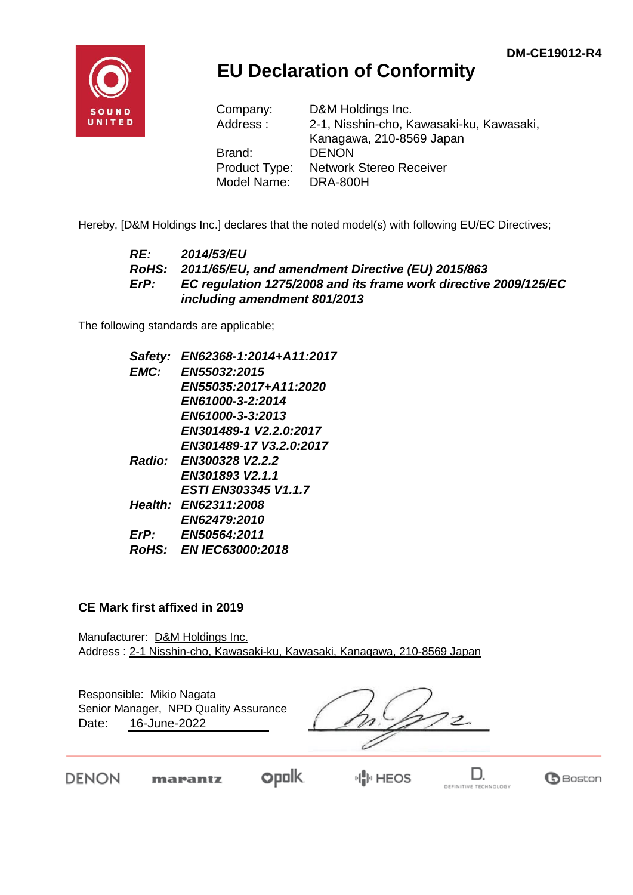

## **EU Declaration of Conformity**

| Company:      | D&M Holdings Inc.                        |
|---------------|------------------------------------------|
| Address:      | 2-1, Nisshin-cho, Kawasaki-ku, Kawasaki, |
|               | Kanagawa, 210-8569 Japan                 |
| Brand:        | <b>DENON</b>                             |
| Product Type: | <b>Network Stereo Receiver</b>           |
| Model Name:   | <b>DRA-800H</b>                          |

Hereby, [D&M Holdings Inc.] declares that the noted model(s) with following EU/EC Directives;

#### *RE: 2014/53/EU RoHS: 2011/65/EU, and amendment Directive (EU) 2015/863 ErP: EC regulation 1275/2008 and its frame work directive 2009/125/EC including amendment 801/2013*

The following standards are applicable;

| Safety: | EN62368-1:2014+A11:2017     |
|---------|-----------------------------|
| EMC:    | EN55032:2015                |
|         | EN55035:2017+A11:2020       |
|         | EN61000-3-2:2014            |
|         | EN61000-3-3:2013            |
|         | EN301489-1 V2.2.0:2017      |
|         | EN301489-17 V3.2.0:2017     |
|         | Radio: EN300328 V2.2.2      |
|         | EN301893 V2.1.1             |
|         | <b>ESTI EN303345 V1.1.7</b> |
|         | Health: EN62311:2008        |
|         | <b>EN62479:2010</b>         |
| ErP:    | EN50564:2011                |
|         | RoHS: EN IEC63000:2018      |
|         |                             |

#### **CE Mark first affixed in 2019**

Manufacturer: D&M Holdings Inc. Address : 2-1 Nisshin-cho, Kawasaki-ku, Kawasaki, Kanagawa, 210-8569 Japan

Responsible: Mikio Nagata Date: 16-June-2022 Senior Manager, NPD Quality Assurance

 $z^2$ 

**DENON** 

 $opolk$ marantz

**HIP HEOS** 

D. DEFINITIVE TECHNOLOGY

**B**Boston